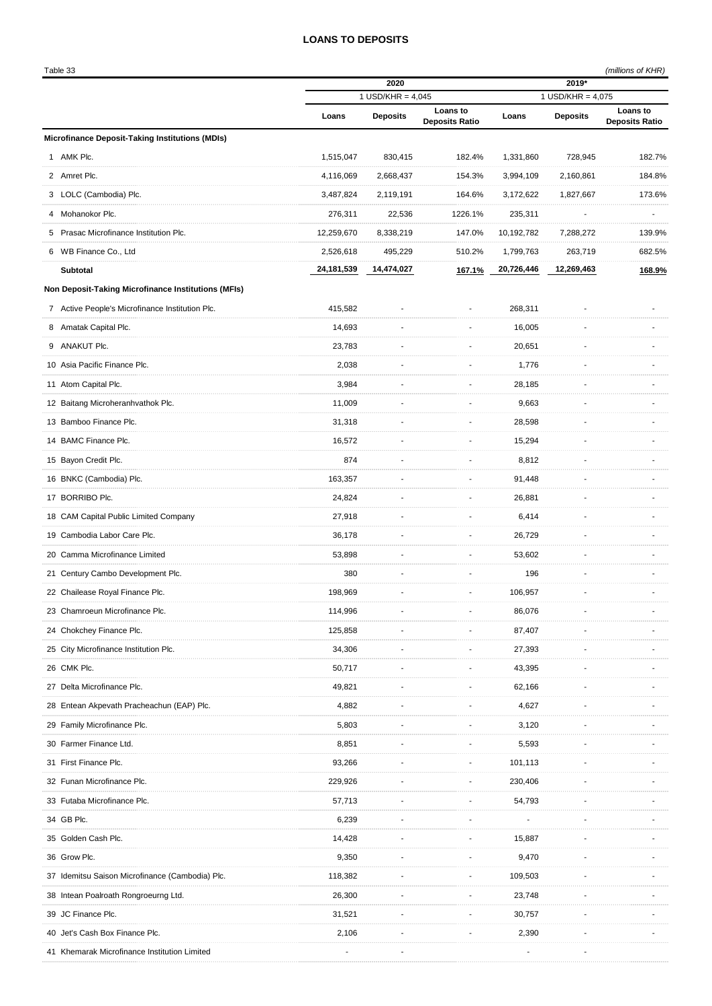## **LOANS TO DEPOSITS**

|   | Table 33                                            |                             |                 |                                   |                              |                 | (millions of KHR)                 |
|---|-----------------------------------------------------|-----------------------------|-----------------|-----------------------------------|------------------------------|-----------------|-----------------------------------|
|   |                                                     | 2020<br>1 USD/KHR = $4,045$ |                 |                                   | 2019*<br>1 USD/KHR = $4,075$ |                 |                                   |
|   |                                                     | Loans                       | <b>Deposits</b> | Loans to<br><b>Deposits Ratio</b> | Loans                        | <b>Deposits</b> | Loans to<br><b>Deposits Ratio</b> |
|   | Microfinance Deposit-Taking Institutions (MDIs)     |                             |                 |                                   |                              |                 |                                   |
|   | 1 AMK Plc.                                          | 1,515,047                   | 830,415         | 182.4%                            | 1,331,860                    | 728,945         | 182.7%                            |
|   | 2 Amret Plc.                                        | 4,116,069                   | 2,668,437       | 154.3%                            | 3,994,109                    | 2,160,861       | 184.8%                            |
|   | 3 LOLC (Cambodia) Plc.                              | 3,487,824                   | 2,119,191       | 164.6%                            | 3,172,622                    | 1,827,667       | 173.6%                            |
| 4 | Mohanokor Plc.                                      | 276,311                     | 22,536          | 1226.1%                           | 235,311                      |                 |                                   |
| 5 | Prasac Microfinance Institution Plc.                | 12,259,670                  | 8,338,219       | 147.0%                            | 10,192,782                   | 7,288,272       | 139.9%                            |
|   | 6 WB Finance Co., Ltd                               | 2,526,618                   | 495,229         | 510.2%                            | 1,799,763                    | 263,719         | 682.5%                            |
|   | <b>Subtotal</b>                                     | 24,181,539                  | 14,474,027      | 167.1%                            | 20,726,446                   | 12,269,463      | 168.9%                            |
|   | Non Deposit-Taking Microfinance Institutions (MFIs) |                             |                 |                                   |                              |                 |                                   |
|   | 7 Active People's Microfinance Institution Plc.     | 415,582                     |                 |                                   | 268,311                      |                 |                                   |
| 8 | Amatak Capital Plc.                                 | 14,693                      |                 |                                   | 16,005                       |                 |                                   |
|   | 9 ANAKUT Plc.                                       | 23,783                      |                 |                                   | 20,651                       |                 |                                   |
|   | 10 Asia Pacific Finance Plc.                        | 2,038                       |                 |                                   | 1,776                        |                 |                                   |
|   | 11 Atom Capital Plc.                                | 3,984                       |                 |                                   | 28,185                       |                 |                                   |
|   | 12 Baitang Microheranhvathok Plc.                   | 11,009                      |                 |                                   | 9,663                        |                 |                                   |
|   | 13 Bamboo Finance Plc.                              | 31,318                      |                 |                                   | 28,598                       |                 |                                   |
|   | 14 BAMC Finance Plc.                                | 16,572                      |                 |                                   | 15,294                       |                 |                                   |
|   | 15 Bayon Credit Plc.                                | 874                         |                 |                                   | 8,812                        |                 |                                   |
|   | 16 BNKC (Cambodia) Plc.                             | 163,357                     |                 |                                   | 91,448                       |                 |                                   |
|   | 17 BORRIBO Plc.                                     | 24,824                      |                 |                                   | 26,881                       |                 |                                   |
|   | 18 CAM Capital Public Limited Company               | 27,918                      |                 |                                   | 6,414                        |                 |                                   |
|   | 19 Cambodia Labor Care Plc.                         | 36,178                      |                 |                                   | 26,729                       |                 |                                   |
|   | 20 Camma Microfinance Limited                       | 53,898                      |                 |                                   | 53,602                       |                 |                                   |
|   | 21 Century Cambo Development Plc.                   | 380                         |                 |                                   | 196                          |                 |                                   |
|   | 22 Chailease Royal Finance Plc.                     | 198,969                     |                 |                                   | 106,957                      |                 |                                   |
|   | 23 Chamroeun Microfinance Plc.                      | 114,996                     |                 |                                   | 86,076                       |                 |                                   |
|   | 24 Chokchey Finance Plc.                            | 125,858                     |                 |                                   | 87,407                       |                 |                                   |
|   | 25 City Microfinance Institution Plc.               | 34,306                      |                 |                                   | 27,393                       |                 |                                   |
|   | 26 CMK Plc.                                         | 50,717                      |                 |                                   | 43,395                       |                 |                                   |
|   | 27 Delta Microfinance Plc.                          | 49,821                      |                 |                                   | 62,166                       |                 |                                   |
|   | 28 Entean Akpevath Pracheachun (EAP) Plc.           | 4,882                       |                 |                                   | 4,627                        |                 |                                   |
|   | 29 Family Microfinance Plc.                         | 5,803                       |                 |                                   | 3,120                        |                 |                                   |
|   | 30 Farmer Finance Ltd.                              | 8,851                       |                 |                                   | 5,593                        |                 |                                   |
|   | 31 First Finance Plc.                               | 93,266                      |                 |                                   | 101,113                      |                 |                                   |
|   | 32 Funan Microfinance Plc.                          | 229,926                     |                 |                                   | 230,406                      |                 |                                   |
|   | 33 Futaba Microfinance Plc.                         | 57,713                      |                 |                                   | 54,793                       |                 |                                   |
|   | 34 GB Plc.                                          | 6,239                       |                 |                                   |                              |                 |                                   |
|   | 35 Golden Cash Plc.                                 | 14,428                      |                 |                                   | 15,887                       |                 |                                   |
|   | 36 Grow Plc.                                        | 9,350                       |                 |                                   | 9,470                        |                 |                                   |
|   | 37 Idemitsu Saison Microfinance (Cambodia) Plc.     | 118,382                     |                 |                                   | 109,503                      |                 |                                   |
|   | 38 Intean Poalroath Rongroeurng Ltd.                | 26,300                      |                 |                                   | 23,748                       |                 |                                   |
|   | 39 JC Finance Plc.                                  | 31,521                      |                 |                                   | 30,757                       |                 |                                   |
|   | 40 Jet's Cash Box Finance Plc.                      | 2,106                       |                 |                                   | 2,390                        |                 |                                   |
|   | 41 Khemarak Microfinance Institution Limited        |                             |                 |                                   |                              |                 |                                   |
|   |                                                     |                             |                 |                                   |                              |                 |                                   |